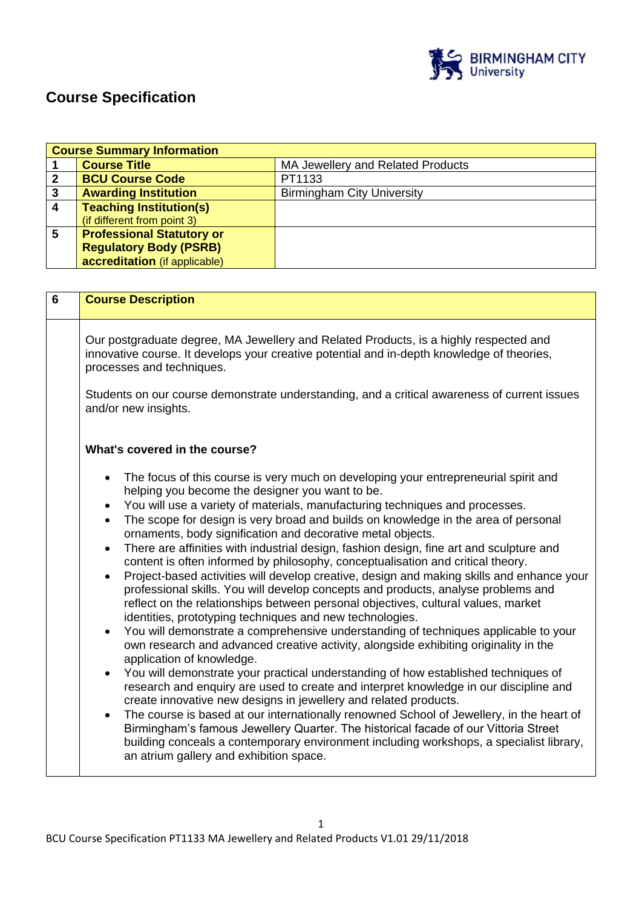

# **Course Specification**

| <b>Course Summary Information</b> |                                                          |                                   |
|-----------------------------------|----------------------------------------------------------|-----------------------------------|
|                                   | <b>Course Title</b><br>MA Jewellery and Related Products |                                   |
|                                   | <b>BCU Course Code</b>                                   | PT1133                            |
| 3                                 | <b>Awarding Institution</b>                              | <b>Birmingham City University</b> |
| 4                                 | <b>Teaching Institution(s)</b>                           |                                   |
|                                   | (if different from point 3)                              |                                   |
| 5                                 | <b>Professional Statutory or</b>                         |                                   |
|                                   | <b>Regulatory Body (PSRB)</b>                            |                                   |
|                                   | accreditation (if applicable)                            |                                   |

| 6 | <b>Course Description</b>                                                                                                                                                                                                                                                                                                                                                                                                                                                                                                                                                                                                                                                                                                                                                                                                                                                                                                                                                                                                                                                                                                                                                                                                                                                                                                                                                                                                                                                                                                                                                                                                                                                                                                                                                                    |  |  |
|---|----------------------------------------------------------------------------------------------------------------------------------------------------------------------------------------------------------------------------------------------------------------------------------------------------------------------------------------------------------------------------------------------------------------------------------------------------------------------------------------------------------------------------------------------------------------------------------------------------------------------------------------------------------------------------------------------------------------------------------------------------------------------------------------------------------------------------------------------------------------------------------------------------------------------------------------------------------------------------------------------------------------------------------------------------------------------------------------------------------------------------------------------------------------------------------------------------------------------------------------------------------------------------------------------------------------------------------------------------------------------------------------------------------------------------------------------------------------------------------------------------------------------------------------------------------------------------------------------------------------------------------------------------------------------------------------------------------------------------------------------------------------------------------------------|--|--|
|   | Our postgraduate degree, MA Jewellery and Related Products, is a highly respected and<br>innovative course. It develops your creative potential and in-depth knowledge of theories,<br>processes and techniques.                                                                                                                                                                                                                                                                                                                                                                                                                                                                                                                                                                                                                                                                                                                                                                                                                                                                                                                                                                                                                                                                                                                                                                                                                                                                                                                                                                                                                                                                                                                                                                             |  |  |
|   | Students on our course demonstrate understanding, and a critical awareness of current issues<br>and/or new insights.                                                                                                                                                                                                                                                                                                                                                                                                                                                                                                                                                                                                                                                                                                                                                                                                                                                                                                                                                                                                                                                                                                                                                                                                                                                                                                                                                                                                                                                                                                                                                                                                                                                                         |  |  |
|   | What's covered in the course?                                                                                                                                                                                                                                                                                                                                                                                                                                                                                                                                                                                                                                                                                                                                                                                                                                                                                                                                                                                                                                                                                                                                                                                                                                                                                                                                                                                                                                                                                                                                                                                                                                                                                                                                                                |  |  |
|   | The focus of this course is very much on developing your entrepreneurial spirit and<br>$\bullet$<br>helping you become the designer you want to be.<br>You will use a variety of materials, manufacturing techniques and processes.<br>$\bullet$<br>The scope for design is very broad and builds on knowledge in the area of personal<br>$\bullet$<br>ornaments, body signification and decorative metal objects.<br>There are affinities with industrial design, fashion design, fine art and sculpture and<br>$\bullet$<br>content is often informed by philosophy, conceptualisation and critical theory.<br>Project-based activities will develop creative, design and making skills and enhance your<br>$\bullet$<br>professional skills. You will develop concepts and products, analyse problems and<br>reflect on the relationships between personal objectives, cultural values, market<br>identities, prototyping techniques and new technologies.<br>You will demonstrate a comprehensive understanding of techniques applicable to your<br>$\bullet$<br>own research and advanced creative activity, alongside exhibiting originality in the<br>application of knowledge.<br>You will demonstrate your practical understanding of how established techniques of<br>$\bullet$<br>research and enquiry are used to create and interpret knowledge in our discipline and<br>create innovative new designs in jewellery and related products.<br>The course is based at our internationally renowned School of Jewellery, in the heart of<br>$\bullet$<br>Birmingham's famous Jewellery Quarter. The historical facade of our Vittoria Street<br>building conceals a contemporary environment including workshops, a specialist library,<br>an atrium gallery and exhibition space. |  |  |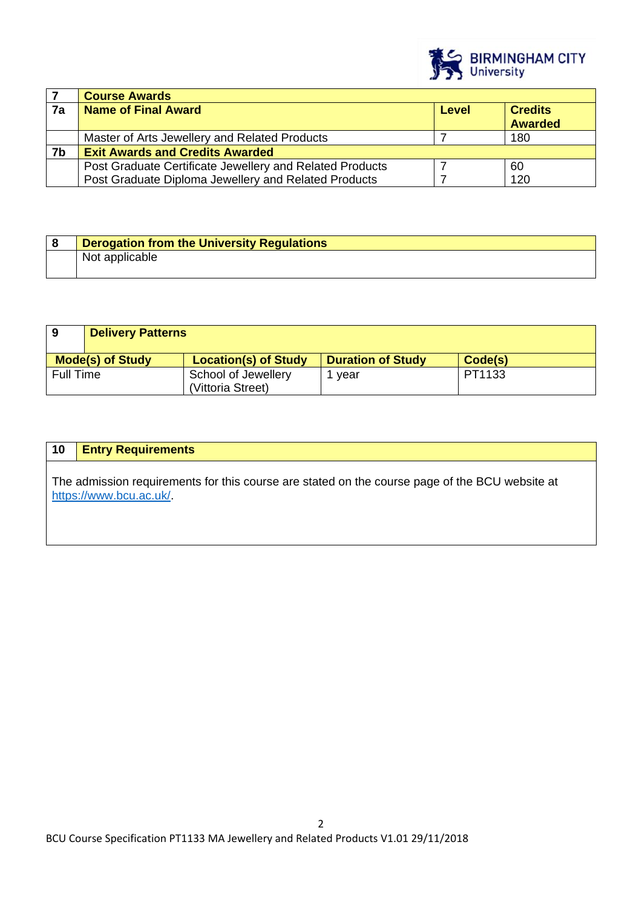

|    | <b>Course Awards</b>                                     |       |                                  |
|----|----------------------------------------------------------|-------|----------------------------------|
| 7a | <b>Name of Final Award</b>                               | Level | <b>Credits</b><br><b>Awarded</b> |
|    |                                                          |       |                                  |
|    | Master of Arts Jewellery and Related Products            |       | 180                              |
| 7b | <b>Exit Awards and Credits Awarded</b>                   |       |                                  |
|    | Post Graduate Certificate Jewellery and Related Products |       | 60                               |
|    | Post Graduate Diploma Jewellery and Related Products     |       | 120                              |

| <b>Derogation from the University Regulations</b> |
|---------------------------------------------------|
| Not applicable                                    |

| 9                | <b>Delivery Patterns</b> |                                          |                          |         |
|------------------|--------------------------|------------------------------------------|--------------------------|---------|
|                  | <b>Mode(s) of Study</b>  | <b>Location(s) of Study</b>              | <b>Duration of Study</b> | Code(s) |
| <b>Full Time</b> |                          | School of Jewellery<br>(Vittoria Street) | vear                     | PT1133  |

| 10 | <b>Entry Requirements</b>                                                                                                |
|----|--------------------------------------------------------------------------------------------------------------------------|
|    | The admission requirements for this course are stated on the course page of the BCU website at<br>https://www.bcu.ac.uk/ |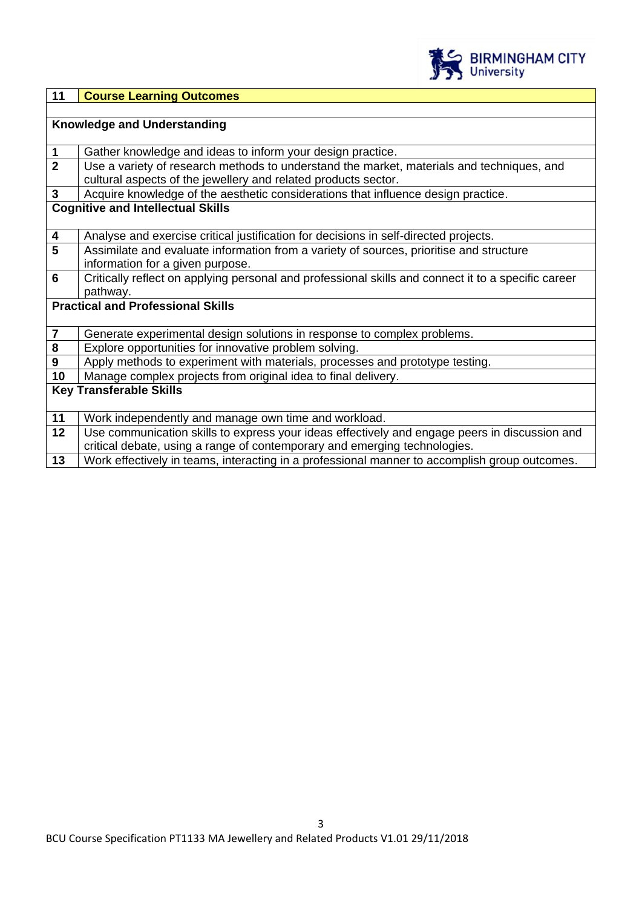

| 11                                       | <b>Course Learning Outcomes</b>                                                                     |  |  |
|------------------------------------------|-----------------------------------------------------------------------------------------------------|--|--|
|                                          |                                                                                                     |  |  |
|                                          | Knowledge and Understanding                                                                         |  |  |
|                                          |                                                                                                     |  |  |
| $\mathbf 1$                              | Gather knowledge and ideas to inform your design practice.                                          |  |  |
| $\overline{2}$                           | Use a variety of research methods to understand the market, materials and techniques, and           |  |  |
|                                          | cultural aspects of the jewellery and related products sector.                                      |  |  |
| $\mathbf{3}$                             | Acquire knowledge of the aesthetic considerations that influence design practice.                   |  |  |
|                                          | <b>Cognitive and Intellectual Skills</b>                                                            |  |  |
|                                          |                                                                                                     |  |  |
| $\overline{\mathbf{4}}$                  | Analyse and exercise critical justification for decisions in self-directed projects.                |  |  |
| $5\phantom{1}$                           | Assimilate and evaluate information from a variety of sources, prioritise and structure             |  |  |
|                                          | information for a given purpose.                                                                    |  |  |
| $6\phantom{1}6$                          | Critically reflect on applying personal and professional skills and connect it to a specific career |  |  |
|                                          | pathway.                                                                                            |  |  |
| <b>Practical and Professional Skills</b> |                                                                                                     |  |  |
|                                          |                                                                                                     |  |  |
| $\overline{\mathbf{7}}$                  | Generate experimental design solutions in response to complex problems.                             |  |  |
| $\pmb{8}$                                | Explore opportunities for innovative problem solving.                                               |  |  |
| $\boldsymbol{9}$                         | Apply methods to experiment with materials, processes and prototype testing.                        |  |  |
| 10                                       | Manage complex projects from original idea to final delivery.                                       |  |  |
| <b>Key Transferable Skills</b>           |                                                                                                     |  |  |
|                                          |                                                                                                     |  |  |
| 11                                       | Work independently and manage own time and workload.                                                |  |  |
| 12                                       | Use communication skills to express your ideas effectively and engage peers in discussion and       |  |  |
|                                          | critical debate, using a range of contemporary and emerging technologies.                           |  |  |
| 13                                       | Work effectively in teams, interacting in a professional manner to accomplish group outcomes.       |  |  |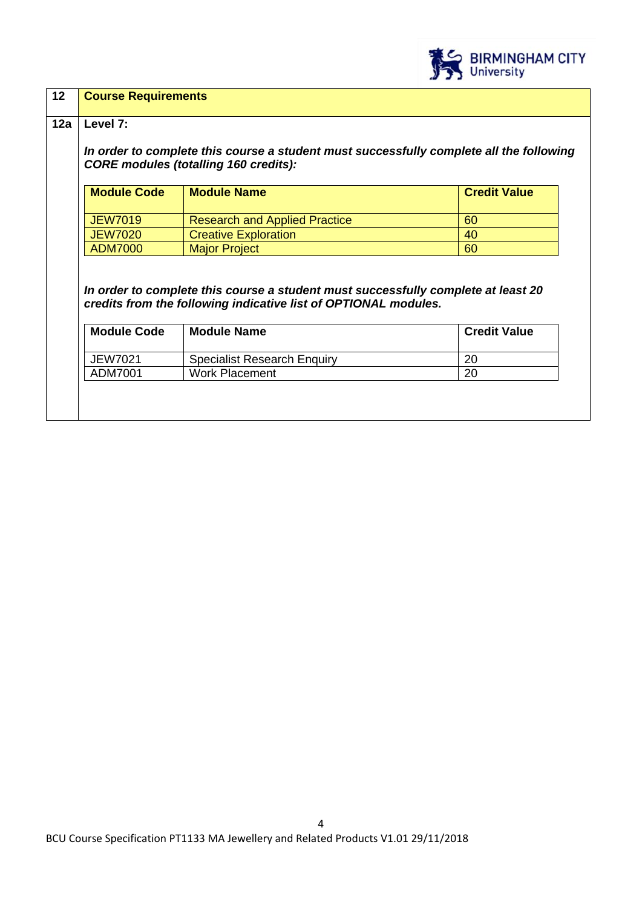

| Level 7:                  |                                                                                                                                                      |                     |  |                                                                                                                                         |
|---------------------------|------------------------------------------------------------------------------------------------------------------------------------------------------|---------------------|--|-----------------------------------------------------------------------------------------------------------------------------------------|
|                           |                                                                                                                                                      |                     |  | In order to complete this course a student must successfully complete all the following<br><b>CORE modules (totalling 160 credits):</b> |
|                           |                                                                                                                                                      |                     |  |                                                                                                                                         |
| <b>Module Code</b>        | <b>Module Name</b>                                                                                                                                   | <b>Credit Value</b> |  |                                                                                                                                         |
| <b>JEW7019</b>            | <b>Research and Applied Practice</b>                                                                                                                 | 60                  |  |                                                                                                                                         |
|                           |                                                                                                                                                      |                     |  |                                                                                                                                         |
| <b>JEW7020</b>            | <b>Creative Exploration</b>                                                                                                                          | 40                  |  |                                                                                                                                         |
| <b>ADM7000</b>            | <b>Major Project</b>                                                                                                                                 | 60                  |  |                                                                                                                                         |
|                           | In order to complete this course a student must successfully complete at least 20<br>credits from the following indicative list of OPTIONAL modules. |                     |  |                                                                                                                                         |
| <b>Module Code</b>        | <b>Module Name</b>                                                                                                                                   | <b>Credit Value</b> |  |                                                                                                                                         |
| <b>JEW7021</b><br>ADM7001 | <b>Specialist Research Enquiry</b><br><b>Work Placement</b>                                                                                          | 20<br>20            |  |                                                                                                                                         |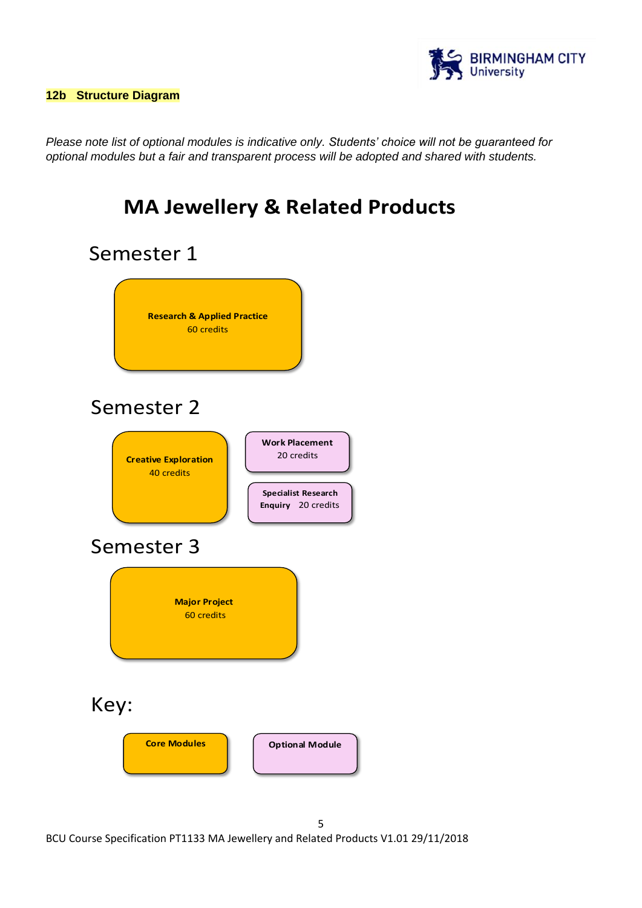

*Please note list of optional modules is indicative only. Students' choice will not be guaranteed for optional modules but a fair and transparent process will be adopted and shared with students.*